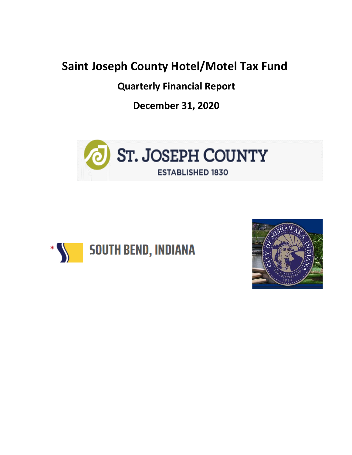## **Saint Joseph County Hotel/Motel Tax Fund**

**Quarterly Financial Report**

**December 31, 2020**





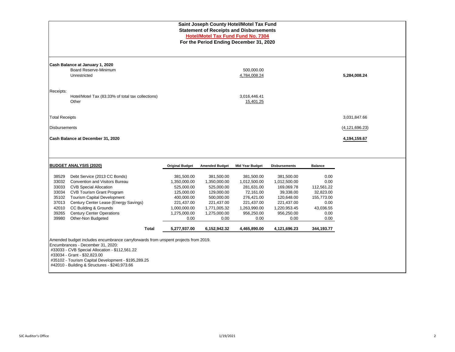|                                                                          |                        |                       | Saint Joseph County Hotel/Motel Tax Fund<br><b>Statement of Receipts and Disbursements</b><br><b>Hotel/Motel Tax Fund Fund No. 7304</b><br>For the Period Ending December 31, 2020 |                      |                |                  |
|--------------------------------------------------------------------------|------------------------|-----------------------|------------------------------------------------------------------------------------------------------------------------------------------------------------------------------------|----------------------|----------------|------------------|
| Cash Balance at January 1, 2020<br>Board Reserve-Minimum<br>Unrestricted |                        |                       | 500,000.00<br>4,784,008.24                                                                                                                                                         |                      |                | 5,284,008.24     |
| Receipts:<br>Hotel/Motel Tax (83.33% of total tax collections)<br>Other  |                        |                       | 3,016,446.41<br>15,401.25                                                                                                                                                          |                      |                |                  |
| <b>Total Receipts</b>                                                    |                        |                       |                                                                                                                                                                                    |                      |                | 3,031,847.66     |
| <b>Disbursements</b>                                                     |                        |                       |                                                                                                                                                                                    |                      |                | (4, 121, 696.23) |
| Cash Balance at December 31, 2020                                        |                        |                       |                                                                                                                                                                                    |                      |                | 4,194,159.67     |
|                                                                          |                        |                       |                                                                                                                                                                                    |                      |                |                  |
| <b>BUDGET ANALYSIS (2020)</b>                                            | <b>Original Budget</b> | <b>Amended Budget</b> | <b>Mid Year Budget</b>                                                                                                                                                             | <b>Disbursements</b> | <b>Balance</b> |                  |
| 38529<br>Debt Service (2013 CC Bonds)                                    | 381,500.00             | 381,500.00            | 381,500.00                                                                                                                                                                         | 381,500.00           | 0.00           |                  |

33032 Convention and Visitors Bureau 1,350,000.00 1,350,000.00 1,012,500.00 1,012,500.00 0.00 33033 CVB Special Allocation 525,000.00 525,000.00 281,631.00 169,069.78 112,561.22

 Tourism Capital Development 400,000.00 500,000.00 276,421.00 120,648.00 155,773.00 Century Center Lease (Energy Savings) 221,437.00 221,437.00 221,437.00 221,437.00 0.00 CC Building & Grounds 1,000,000.00 1,771,005.32 1,263,990.00 1,220,953.45 43,036.55 Century Center Operations 1,275,000.00 1,275,000.00 956,250.00 956,250.00 0.00 Other-Non Budgeted 0.00 0.00 0.00 0.00 0.00

33034 CVB Tourism Grant Program 125,000.00 129,000.00 72,161.00

Amended budget includes encumbrance carryforwards from unspent projects from 2019.

Encumbrances - December 31, 2020: #33033 - CVB Special Allocation - \$112,561.22

 #35102 - Tourism Capital Development - \$195,289.25 #42010 - Building & Structures - \$240,973.66

#33034 - Grant - \$32,823.00

| SJC Auditor's Office | 1/19/2021 |  |
|----------------------|-----------|--|

**Total 5,277,937.00 6,152,942.32 4,465,890.00 4,121,696.23 344,193.77**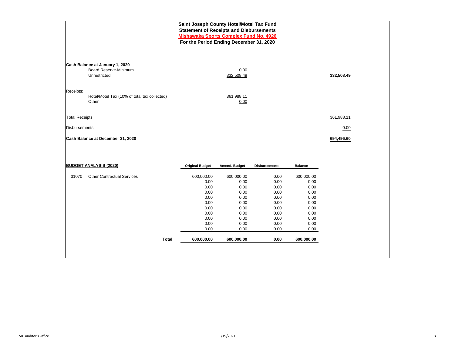|                       |                                                                 | Saint Joseph County Hotel/Motel Tax Fund<br><b>Statement of Receipts and Disbursements</b><br><b>Mishawaka Sports Complex Fund No. 4926</b><br>For the Period Ending December 31, 2020 |                    |                      |                |            |  |
|-----------------------|-----------------------------------------------------------------|----------------------------------------------------------------------------------------------------------------------------------------------------------------------------------------|--------------------|----------------------|----------------|------------|--|
|                       | Cash Balance at January 1, 2020<br><b>Board Reserve-Minimum</b> |                                                                                                                                                                                        | 0.00               |                      |                |            |  |
|                       | Unrestricted                                                    |                                                                                                                                                                                        | 332,508.49         |                      |                | 332,508.49 |  |
| Receipts:             |                                                                 |                                                                                                                                                                                        |                    |                      |                |            |  |
|                       | Hotel/Motel Tax (10% of total tax collected)<br>Other           |                                                                                                                                                                                        | 361,988.11<br>0.00 |                      |                |            |  |
| <b>Total Receipts</b> |                                                                 |                                                                                                                                                                                        |                    |                      |                | 361,988.11 |  |
| <b>Disbursements</b>  |                                                                 |                                                                                                                                                                                        |                    |                      |                | 0.00       |  |
|                       | Cash Balance at December 31, 2020                               |                                                                                                                                                                                        |                    |                      |                | 694,496.60 |  |
|                       |                                                                 |                                                                                                                                                                                        |                    |                      |                |            |  |
|                       | <b>BUDGET ANALYSIS (2020)</b>                                   | <b>Original Budget</b>                                                                                                                                                                 | Amend. Budget      | <b>Disbursements</b> | <b>Balance</b> |            |  |
| 31070                 | <b>Other Contractual Services</b>                               | 600,000.00                                                                                                                                                                             | 600,000.00         | 0.00                 | 600,000.00     |            |  |
|                       |                                                                 | 0.00                                                                                                                                                                                   | 0.00               | 0.00                 | 0.00           |            |  |
|                       |                                                                 | 0.00                                                                                                                                                                                   | 0.00               | 0.00                 | 0.00           |            |  |
|                       |                                                                 | 0.00<br>0.00                                                                                                                                                                           | 0.00<br>0.00       | 0.00<br>0.00         | 0.00<br>0.00   |            |  |
|                       |                                                                 | 0.00                                                                                                                                                                                   | 0.00               | 0.00                 | 0.00           |            |  |
|                       |                                                                 | 0.00                                                                                                                                                                                   | 0.00               | 0.00                 | 0.00           |            |  |
|                       |                                                                 | 0.00                                                                                                                                                                                   | 0.00               | 0.00                 | 0.00           |            |  |
|                       |                                                                 | 0.00                                                                                                                                                                                   | 0.00               | 0.00                 | 0.00           |            |  |
|                       |                                                                 | 0.00                                                                                                                                                                                   | 0.00               | 0.00                 | 0.00           |            |  |
|                       |                                                                 | 0.00                                                                                                                                                                                   | 0.00               | 0.00                 | 0.00           |            |  |
|                       | <b>Total</b>                                                    | 600,000.00                                                                                                                                                                             | 600,000.00         | 0.00                 | 600,000.00     |            |  |
|                       |                                                                 |                                                                                                                                                                                        |                    |                      |                |            |  |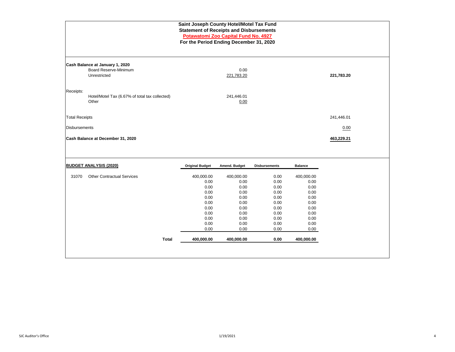|                       |                                                                                 | Saint Joseph County Hotel/Motel Tax Fund<br><b>Statement of Receipts and Disbursements</b><br>For the Period Ending December 31, 2020 | Potawatomi Zoo Capital Fund No. 4927                                                                     |                                                                                              |                                                                                                          |            |  |
|-----------------------|---------------------------------------------------------------------------------|---------------------------------------------------------------------------------------------------------------------------------------|----------------------------------------------------------------------------------------------------------|----------------------------------------------------------------------------------------------|----------------------------------------------------------------------------------------------------------|------------|--|
|                       | Cash Balance at January 1, 2020<br><b>Board Reserve-Minimum</b><br>Unrestricted |                                                                                                                                       | 0.00<br>221,783.20                                                                                       |                                                                                              |                                                                                                          | 221,783.20 |  |
| Receipts:             | Hotel/Motel Tax (6.67% of total tax collected)<br>Other                         |                                                                                                                                       | 241,446.01<br>0.00                                                                                       |                                                                                              |                                                                                                          |            |  |
| <b>Total Receipts</b> |                                                                                 |                                                                                                                                       |                                                                                                          |                                                                                              |                                                                                                          | 241,446.01 |  |
| <b>Disbursements</b>  |                                                                                 |                                                                                                                                       |                                                                                                          |                                                                                              |                                                                                                          | 0.00       |  |
|                       | Cash Balance at December 31, 2020                                               |                                                                                                                                       |                                                                                                          |                                                                                              |                                                                                                          | 463,229.21 |  |
|                       | <b>BUDGET ANALYSIS (2020)</b>                                                   | <b>Original Budget</b>                                                                                                                | Amend. Budget                                                                                            | <b>Disbursements</b>                                                                         | <b>Balance</b>                                                                                           |            |  |
| 31070                 | <b>Other Contractual Services</b><br><b>Total</b>                               | 400,000.00<br>0.00<br>0.00<br>0.00<br>0.00<br>0.00<br>0.00<br>0.00<br>0.00<br>0.00<br>0.00<br>400,000.00                              | 400,000.00<br>0.00<br>0.00<br>0.00<br>0.00<br>0.00<br>0.00<br>0.00<br>0.00<br>0.00<br>0.00<br>400,000.00 | 0.00<br>0.00<br>0.00<br>0.00<br>0.00<br>0.00<br>0.00<br>0.00<br>0.00<br>0.00<br>0.00<br>0.00 | 400,000.00<br>0.00<br>0.00<br>0.00<br>0.00<br>0.00<br>0.00<br>0.00<br>0.00<br>0.00<br>0.00<br>400,000.00 |            |  |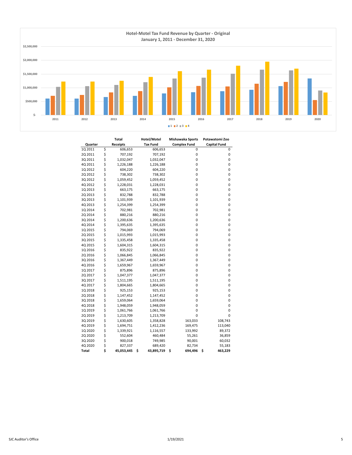

| <b>Total</b> |    | Hotel/Motel     | <b>Mishawaka Sports</b> | Potawatomi Zoo      |                     |  |
|--------------|----|-----------------|-------------------------|---------------------|---------------------|--|
| Quarter      |    | <b>Receipts</b> | <b>Tax Fund</b>         | <b>Complex Fund</b> | <b>Capital Fund</b> |  |
| 1Q 2011      | \$ | 606,653         | 606,653                 | 0                   | 0                   |  |
| 2Q 2011      | \$ | 707,192         | 707,192                 | 0                   | 0                   |  |
| 3Q 2011      | \$ | 1,032,047       | 1,032,047               | 0                   | 0                   |  |
| 4Q 2011      | \$ | 1,226,188       | 1,226,188               | 0                   | 0                   |  |
| 1Q 2012      | \$ | 604,220         | 604,220                 | 0                   | 0                   |  |
| 2Q 2012      | \$ | 738,302         | 738,302                 | 0                   | 0                   |  |
| 3Q 2012      | \$ | 1,059,452       | 1,059,452               | 0                   | 0                   |  |
| 4Q 2012      | \$ | 1,228,031       | 1,228,031               | 0                   | 0                   |  |
| 1Q 2013      | \$ | 663,175         | 663,175                 | 0                   | 0                   |  |
| 2Q 2013      | \$ | 832,788         | 832,788                 | 0                   | 0                   |  |
| 3Q 2013      | \$ | 1,101,939       | 1,101,939               | 0                   | 0                   |  |
| 4Q 2013      | \$ | 1,254,399       | 1,254,399               | 0                   | 0                   |  |
| 1Q 2014      | \$ | 702,981         | 702,981                 | 0                   | 0                   |  |
| 2Q 2014      | \$ | 880,216         | 880,216                 | 0                   | 0                   |  |
| 3Q 2014      | \$ | 1,200,636       | 1,200,636               | 0                   | 0                   |  |
| 4Q 2014      | \$ | 1,395,635       | 1,395,635               | 0                   | 0                   |  |
| 1Q 2015      | \$ | 794,069         | 794,069                 | 0                   | 0                   |  |
| 2Q 2015      | \$ | 1,015,993       | 1,015,993               | 0                   | 0                   |  |
| 3Q 2015      | \$ | 1,335,458       | 1,335,458               | 0                   | 0                   |  |
| 4Q 2015      | \$ | 1,604,315       | 1,604,315               | 0                   | 0                   |  |
| 1Q 2016      | \$ | 835,922         | 835,922                 | 0                   | 0                   |  |
| 2Q 2016      | \$ | 1,066,845       | 1,066,845               | 0                   | 0                   |  |
| 3Q 2016      | \$ | 1,367,449       | 1,367,449               | 0                   | 0                   |  |
| 4Q 2016      | \$ | 1,659,967       | 1,659,967               | 0                   | 0                   |  |
| 1Q 2017      | \$ | 875,896         | 875,896                 | 0                   | 0                   |  |
| 2Q 2017      | \$ | 1,047,377       | 1,047,377               | 0                   | 0                   |  |
| 3Q 2017      | \$ | 1,511,195       | 1,511,195               | 0                   | 0                   |  |
| 4Q 2017      | \$ | 1,804,665       | 1,804,665               | 0                   | 0                   |  |
| 1Q 2018      | \$ | 925,153         | 925,153                 | 0                   | 0                   |  |
| 2Q 2018      | \$ | 1,147,452       | 1,147,452               | 0                   | 0                   |  |
| 3Q 2018      | \$ | 1,659,064       | 1,659,064               | 0                   | 0                   |  |
| 4Q 2018      | \$ | 1,948,059       | 1,948,059               | 0                   | 0                   |  |
| 1Q 2019      | \$ | 1,061,766       | 1,061,766               | 0                   | 0                   |  |
| 2Q 2019      | \$ | 1,213,709       | 1,213,709               | 0                   | 0                   |  |
| 3Q 2019      | \$ | 1,630,605       | 1,358,828               | 163,033             | 108,743             |  |
| 4Q 2019      | \$ | 1,694,751       | 1,412,236               | 169,475             | 113,040             |  |
| 1Q 2020      | \$ | 1,339,921       | 1,116,557               | 133,992             | 89,372              |  |
| 2Q 2020      | \$ | 552,604         | 460,484                 | 55,261              | 36,859              |  |
| 3Q 2020      | \$ | 900,018         | 749,985                 | 90,001              | 60,032              |  |
| 4Q 2020      | \$ | 827,337         | 689,420                 | 82,734              | 55,183              |  |
| Total        | Ś  | 45,053,445      | \$<br>43,895,719        | \$<br>694,496       | \$<br>463,229       |  |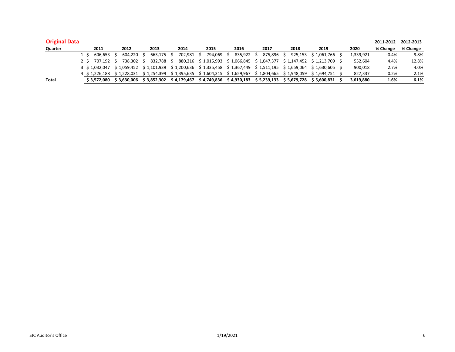| <b>Original Data</b> |                |                         |             |             |                           |                                                                               |             |                         |              |  |           | 2011-2012 | 2012-2013 |
|----------------------|----------------|-------------------------|-------------|-------------|---------------------------|-------------------------------------------------------------------------------|-------------|-------------------------|--------------|--|-----------|-----------|-----------|
| Quarter              | 2011           | 2012                    | 2013        | 2014        | 2015                      | 2016                                                                          | 2017        | 2018                    | 2019         |  | 2020      | % Change  | % Change  |
|                      | 606.653        | 604.220                 | 663.175     | 702.981     | 794.069                   | 835,922 \$                                                                    | 875.896     | 925.153 \$1.061.766     |              |  | 1,339,921 | $-0.4%$   | 9.8%      |
|                      | 2 \$ 707.192   | 738.302                 | 832.788     |             | 880.216 \$1.015.993       | \$1,066,845 \$1,047,377                                                       |             | \$1.147.452 \$1.213.709 |              |  | 552.604   | 4.4%      | 12.8%     |
|                      | 3 \$ 1.032.047 | \$1.059.452 \$1.101.939 |             |             |                           | $$1,200,636$ $$1,335,458$ $$1,367,449$ $$1,511,195$ $$1,659,064$ $$1,630,605$ |             |                         |              |  | 900,018   | 2.7%      | 4.0%      |
|                      | 4 \$ 1.226.188 | \$1.228.031             | \$1.254.399 |             | $$1,395,635 \t$1,604,315$ | \$1.659.967                                                                   | \$1,804,665 | \$1.948.059 \$1.694.751 |              |  | 827.337   | 0.2%      | 2.1%      |
| <b>Total</b>         | \$3.572.080    | \$3.630.006             | \$3.852.302 | \$4.179.467 | \$4,749,836               | \$ 4.930.183                                                                  | \$5.239.133 | \$ 5,679,728            | \$ 5.600.831 |  | 3,619,880 | 1.6%      | 6.1%      |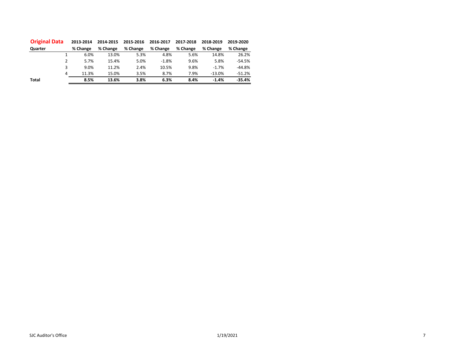| <b>Original Data</b> | 2013-2014 | 2014-2015 | 2015-2016 | 2016-2017 | 2017-2018 | 2018-2019 | 2019-2020 |
|----------------------|-----------|-----------|-----------|-----------|-----------|-----------|-----------|
| Quarter              | % Change  | % Change  | % Change  | % Change  | % Change  | % Change  | % Change  |
|                      | 6.0%      | 13.0%     | 5.3%      | 4.8%      | 5.6%      | 14.8%     | 26.2%     |
| 2                    | 5.7%      | 15.4%     | 5.0%      | $-1.8%$   | 9.6%      | 5.8%      | $-54.5%$  |
| 3                    | 9.0%      | 11.2%     | 2.4%      | 10.5%     | 9.8%      | $-1.7%$   | $-44.8%$  |
| 4                    | 11.3%     | 15.0%     | 3.5%      | 8.7%      | 7.9%      | $-13.0%$  | $-51.2%$  |
| <b>Total</b>         | 8.5%      | 13.6%     | 3.8%      | 6.3%      | 8.4%      | $-1.4%$   | $-35.4%$  |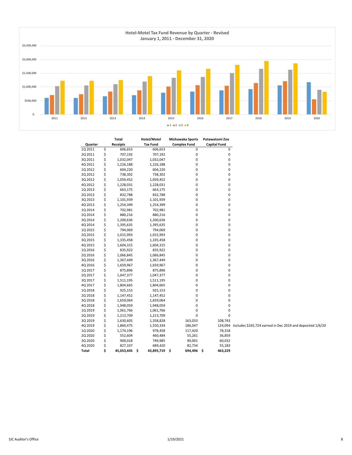

|         | Total            | Hotel/Motel          | Mishawaka Sports    |           | Potawatomi Zoo                                                     |  |
|---------|------------------|----------------------|---------------------|-----------|--------------------------------------------------------------------|--|
| Quarter | Receipts         | <b>Tax Fund</b>      | <b>Complex Fund</b> |           | <b>Capital Fund</b>                                                |  |
| 1Q 2011 | \$<br>606,653    | 606,653              |                     | 0         | 0                                                                  |  |
| 2Q 2011 | \$<br>707,192    | 707,192              |                     | 0         | $\pmb{0}$                                                          |  |
| 3Q 2011 | \$<br>1,032,047  | 1,032,047            |                     | 0         | $\pmb{0}$                                                          |  |
| 4Q 2011 | \$<br>1,226,188  | 1,226,188            |                     | 0         | 0                                                                  |  |
| 1Q 2012 | \$<br>604,220    | 604,220              |                     | 0         | $\pmb{0}$                                                          |  |
| 2Q 2012 | \$<br>738,302    | 738,302              |                     | 0         | 0                                                                  |  |
| 3Q 2012 | \$<br>1,059,452  | 1,059,452            |                     | 0         | $\pmb{0}$                                                          |  |
| 4Q 2012 | \$<br>1,228,031  | 1,228,031            |                     | 0         | 0                                                                  |  |
| 1Q 2013 | \$<br>663,175    | 663,175              |                     | 0         | $\pmb{0}$                                                          |  |
| 2Q 2013 | \$<br>832,788    | 832,788              |                     | 0         | 0                                                                  |  |
| 3Q 2013 | \$<br>1,101,939  | 1,101,939            |                     | 0         | 0                                                                  |  |
| 4Q 2013 | \$<br>1,254,399  | 1,254,399            |                     | 0         | 0                                                                  |  |
| 1Q 2014 | \$<br>702,981    | 702,981              |                     | 0         | $\pmb{0}$                                                          |  |
| 2Q 2014 | \$<br>880,216    | 880,216              |                     | 0         | 0                                                                  |  |
| 3Q 2014 | \$<br>1,200,636  | 1,200,636            |                     | 0         | 0                                                                  |  |
| 4Q 2014 | \$<br>1,395,635  | 1,395,635            |                     | 0         | 0                                                                  |  |
| 1Q 2015 | \$<br>794,069    | 794,069              |                     | 0         | $\pmb{0}$                                                          |  |
| 2Q 2015 | \$<br>1,015,993  | 1,015,993            |                     | 0         | 0                                                                  |  |
| 3Q 2015 | \$<br>1,335,458  | 1,335,458            |                     | 0         | $\pmb{0}$                                                          |  |
| 4Q 2015 | \$<br>1,604,315  | 1,604,315            |                     | $\pmb{0}$ | $\pmb{0}$                                                          |  |
| 1Q 2016 | \$<br>835,922    | 835,922              |                     | 0         | $\pmb{0}$                                                          |  |
| 2Q 2016 | \$<br>1,066,845  | 1,066,845            |                     | 0         | 0                                                                  |  |
| 3Q 2016 | \$               |                      |                     | 0         | 0                                                                  |  |
| 4Q 2016 | \$<br>1,367,449  | 1,367,449            |                     | $\pmb{0}$ | $\pmb{0}$                                                          |  |
|         | 1,659,967        | 1,659,967            |                     |           |                                                                    |  |
| 1Q 2017 | \$<br>875,896    | 875,896              |                     | 0         | 0                                                                  |  |
| 2Q 2017 | \$<br>1,047,377  | 1,047,377            |                     | 0         | $\pmb{0}$                                                          |  |
| 3Q 2017 | \$<br>1,511,195  | 1,511,195            |                     | 0         | 0                                                                  |  |
| 4Q 2017 | \$<br>1,804,665  | 1,804,665            |                     | 0         | 0                                                                  |  |
| 1Q 2018 | \$<br>925,153    | 925,153              |                     | 0         | $\pmb{0}$                                                          |  |
| 2Q 2018 | \$<br>1,147,452  | 1,147,452            |                     | 0         | 0                                                                  |  |
| 3Q 2018 | \$<br>1,659,064  | 1,659,064            |                     | 0         | $\pmb{0}$                                                          |  |
| 4Q 2018 | \$<br>1,948,059  | 1,948,059            |                     | 0         | 0                                                                  |  |
| 1Q 2019 | \$<br>1,061,766  | 1,061,766            |                     | 0         | 0                                                                  |  |
| 2Q 2019 | \$<br>1,213,709  | 1,213,709            |                     | 0         | 0                                                                  |  |
| 3Q 2019 | \$<br>1,630,605  | 1,358,828            | 163,033             |           | 108,743                                                            |  |
| 4Q 2019 | \$<br>1,860,475  | 1,550,334            | 186,047             |           | 124,094 Includes \$165,724 earned in Dec 2019 and deposited 1/6/20 |  |
| 1Q 2020 | \$<br>1,174,196  | 978,458              | 117,420             |           | 78,318                                                             |  |
| 2Q 2020 | \$<br>552,604    | 460,484              | 55,261              |           | 36,859                                                             |  |
| 3Q 2020 | \$<br>900,018    | 749,985              | 90,001              |           | 60,032                                                             |  |
| 4Q 2020 | \$<br>827,337    | 689,420              | 82,734              |           | 55,183                                                             |  |
| Total   | \$<br>45,053,445 | 43,895,719 \$<br>.\$ | 694,496 \$          |           | 463,229                                                            |  |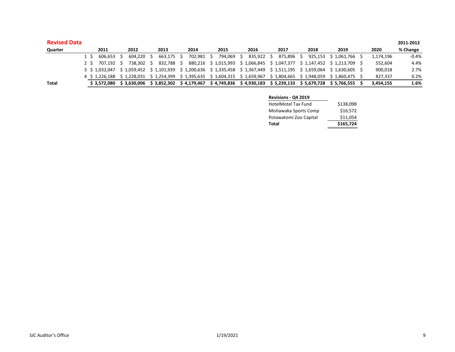| <b>Revised Data</b> |     |             |            |            |            |            |                                                                                                                           |            |      |                      |           | 2011-2012 |
|---------------------|-----|-------------|------------|------------|------------|------------|---------------------------------------------------------------------------------------------------------------------------|------------|------|----------------------|-----------|-----------|
| Quarter             |     | 2011        | 2012       | 2013       | 2014       | 2015       | 2016                                                                                                                      | 2017       | 2018 | 2019                 | 2020      | % Change  |
|                     | 1 S | 606.653 S   | 604.220 \$ | 663.175 \$ | 702.981 \$ | 794.069 \$ | 835.922 S                                                                                                                 | 875.896 \$ |      | 925.153 \$ 1.061.766 | 1,174,196 | $-0.4%$   |
|                     | 2 S | 707.192 S   | 738.302 \$ | 832.788 \$ |            |            | 880.216 \$1.015.993 \$1.066.845 \$1.047.377 \$1.147.452 \$1.213.709                                                       |            |      |                      | 552,604   | 4.4%      |
|                     |     |             |            |            |            |            | 3 \$ 1,032,047 \$ 1,059,452 \$ 1,101,939 \$ 1,200,636 \$ 1,335,458 \$ 1,367,449 \$ 1,511,195 \$ 1,659,064 \$ 1,630,605 \$ |            |      |                      | 900,018   | 2.7%      |
|                     |     |             |            |            |            |            | 4 \$ 1.226.188 \$ 1.228.031 \$ 1.254.399 \$ 1.395.635 \$ 1.604.315 \$ 1.659.967 \$ 1.804.665 \$ 1.948.059 \$ 1.860.475 \$ |            |      |                      | 827.337   | 0.2%      |
| <b>Total</b>        |     | \$3.572.080 |            |            |            |            | \$3,630,006 \$3,852,302 \$4,179,467 \$4,749,836 \$4,930,183 \$5,239,133 \$5,679,728 \$5,766,555                           |            |      |                      | 3,454,155 | 1.6%      |

| <b>Revisions - Q4 2019</b> |           |
|----------------------------|-----------|
| <b>HotelMotel Tax Fund</b> | \$138,098 |
| Mishawaka Sports Comp      | \$16.572  |
| Potawatomi Zoo Capital     | \$11,054  |
| Total                      | \$165,724 |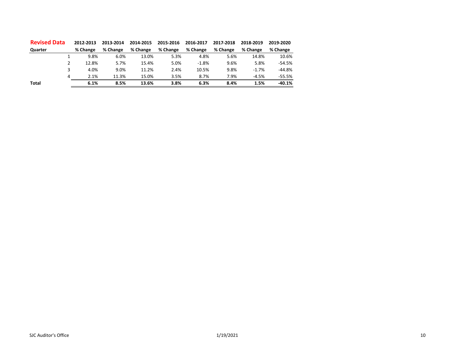| <b>Revised Data</b> | 2012-2013 | 2013-2014 | 2014-2015 | 2015-2016 | 2016-2017 | 2017-2018 | 2018-2019 | 2019-2020 |
|---------------------|-----------|-----------|-----------|-----------|-----------|-----------|-----------|-----------|
| Quarter             | % Change  | % Change  | % Change  | % Change  | % Change  | % Change  | % Change  | % Change  |
|                     | 9.8%      | 6.0%      | 13.0%     | 5.3%      | 4.8%      | 5.6%      | 14.8%     | 10.6%     |
|                     | 12.8%     | 5.7%      | 15.4%     | 5.0%      | $-1.8%$   | 9.6%      | 5.8%      | $-54.5%$  |
|                     | 4.0%      | 9.0%      | 11.2%     | 2.4%      | 10.5%     | 9.8%      | $-1.7%$   | $-44.8%$  |
| 4                   | 2.1%      | 11.3%     | 15.0%     | 3.5%      | 8.7%      | 7.9%      | $-4.5%$   | $-55.5%$  |
| <b>Total</b>        | 6.1%      | 8.5%      | 13.6%     | 3.8%      | 6.3%      | 8.4%      | 1.5%      | $-40.1%$  |
|                     |           |           |           |           |           |           |           |           |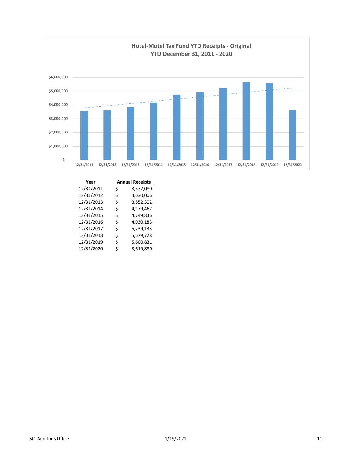

| Year       |    | <b>Annual Receipts</b> |
|------------|----|------------------------|
| 12/31/2011 | \$ | 3,572,080              |
| 12/31/2012 | \$ | 3,630,006              |
| 12/31/2013 | \$ | 3,852,302              |
| 12/31/2014 | \$ | 4,179,467              |
| 12/31/2015 | \$ | 4,749,836              |
| 12/31/2016 | Ś  | 4,930,183              |
| 12/31/2017 | \$ | 5,239,133              |
| 12/31/2018 | \$ | 5,679,728              |
| 12/31/2019 | \$ | 5,600,831              |
| 12/31/2020 | \$ | 3,619,880              |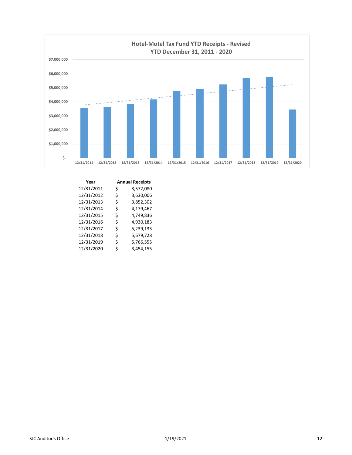

| Year       | <b>Annual Receipts</b> |           |  |
|------------|------------------------|-----------|--|
| 12/31/2011 | \$                     | 3,572,080 |  |
| 12/31/2012 | \$                     | 3,630,006 |  |
| 12/31/2013 | \$                     | 3,852,302 |  |
| 12/31/2014 | \$                     | 4,179,467 |  |
| 12/31/2015 | \$                     | 4,749,836 |  |
| 12/31/2016 | \$                     | 4,930,183 |  |
| 12/31/2017 | \$                     | 5,239,133 |  |
| 12/31/2018 | \$                     | 5,679,728 |  |
| 12/31/2019 | \$                     | 5,766,555 |  |
| 12/31/2020 | \$                     | 3,454,155 |  |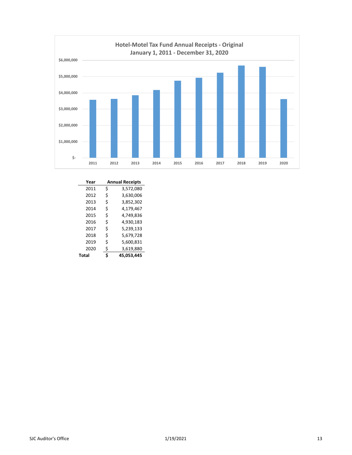

| Year  |    | <b>Annual Receipts</b> |  |  |
|-------|----|------------------------|--|--|
| 2011  | \$ | 3,572,080              |  |  |
| 2012  | \$ | 3,630,006              |  |  |
| 2013  | \$ | 3,852,302              |  |  |
| 2014  | \$ | 4,179,467              |  |  |
| 2015  | Ś  | 4,749,836              |  |  |
| 2016  | Ś  | 4,930,183              |  |  |
| 2017  | \$ | 5,239,133              |  |  |
| 2018  | \$ | 5,679,728              |  |  |
| 2019  | \$ | 5,600,831              |  |  |
| 2020  | \$ | 3,619,880              |  |  |
| Total | Ś  | 45.053.445             |  |  |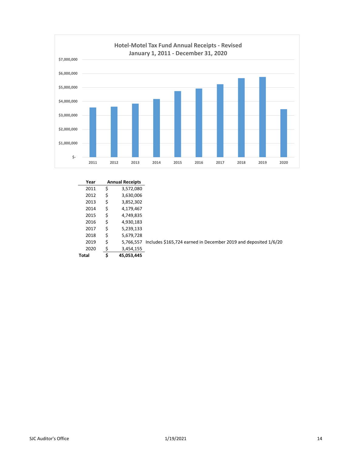

| Year  | <b>Annual Receipts</b> |                                                                 |
|-------|------------------------|-----------------------------------------------------------------|
| 2011  | \$<br>3,572,080        |                                                                 |
| 2012  | \$<br>3,630,006        |                                                                 |
| 2013  | \$<br>3,852,302        |                                                                 |
| 2014  | \$<br>4,179,467        |                                                                 |
| 2015  | \$<br>4,749,835        |                                                                 |
| 2016  | \$<br>4,930,183        |                                                                 |
| 2017  | \$<br>5,239,133        |                                                                 |
| 2018  | \$<br>5,679,728        |                                                                 |
| 2019  | \$<br>5.766.557        | Includes \$165,724 earned in December 2019 and deposited 1/6/20 |
| 2020  | \$<br>3,454,155        |                                                                 |
| Total | \$<br>45,053,445       |                                                                 |